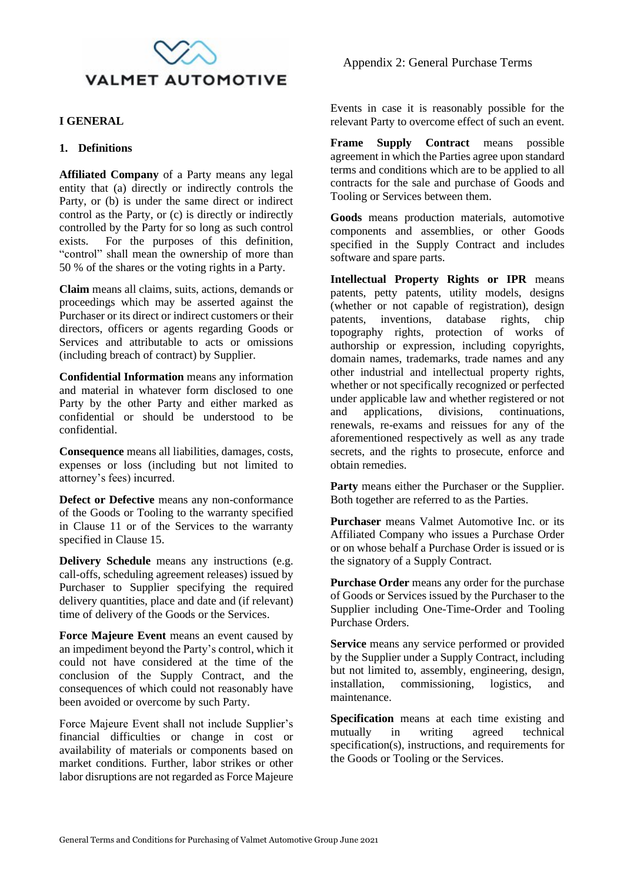

#### **I GENERAL**

#### **1. Definitions**

**Affiliated Company** of a Party means any legal entity that (a) directly or indirectly controls the Party, or (b) is under the same direct or indirect control as the Party, or (c) is directly or indirectly controlled by the Party for so long as such control exists. For the purposes of this definition, "control" shall mean the ownership of more than 50 % of the shares or the voting rights in a Party.

**Claim** means all claims, suits, actions, demands or proceedings which may be asserted against the Purchaser or its direct or indirect customers or their directors, officers or agents regarding Goods or Services and attributable to acts or omissions (including breach of contract) by Supplier.

**Confidential Information** means any information and material in whatever form disclosed to one Party by the other Party and either marked as confidential or should be understood to be confidential.

**Consequence** means all liabilities, damages, costs, expenses or loss (including but not limited to attorney's fees) incurred.

**Defect or Defective** means any non-conformance of the Goods or Tooling to the warranty specified in Clause 11 or of the Services to the warranty specified in Clause 15.

**Delivery Schedule** means any instructions (e.g. call-offs, scheduling agreement releases) issued by Purchaser to Supplier specifying the required delivery quantities, place and date and (if relevant) time of delivery of the Goods or the Services.

**Force Majeure Event** means an event caused by an impediment beyond the Party's control, which it could not have considered at the time of the conclusion of the Supply Contract, and the consequences of which could not reasonably have been avoided or overcome by such Party.

Force Majeure Event shall not include Supplier's financial difficulties or change in cost or availability of materials or components based on market conditions. Further, labor strikes or other labor disruptions are not regarded as Force Majeure

Events in case it is reasonably possible for the relevant Party to overcome effect of such an event.

Frame Supply Contract means possible agreement in which the Parties agree upon standard terms and conditions which are to be applied to all contracts for the sale and purchase of Goods and Tooling or Services between them.

**Goods** means production materials, automotive components and assemblies, or other Goods specified in the Supply Contract and includes software and spare parts.

**Intellectual Property Rights or IPR** means patents, petty patents, utility models, designs (whether or not capable of registration), design patents, inventions, database rights, chip topography rights, protection of works of authorship or expression, including copyrights, domain names, trademarks, trade names and any other industrial and intellectual property rights, whether or not specifically recognized or perfected under applicable law and whether registered or not and applications, divisions, continuations, renewals, re-exams and reissues for any of the aforementioned respectively as well as any trade secrets, and the rights to prosecute, enforce and obtain remedies.

**Party** means either the Purchaser or the Supplier. Both together are referred to as the Parties.

**Purchaser** means Valmet Automotive Inc. or its Affiliated Company who issues a Purchase Order or on whose behalf a Purchase Order is issued or is the signatory of a Supply Contract.

**Purchase Order** means any order for the purchase of Goods or Services issued by the Purchaser to the Supplier including One-Time-Order and Tooling Purchase Orders.

**Service** means any service performed or provided by the Supplier under a Supply Contract, including but not limited to, assembly, engineering, design, installation, commissioning, logistics, and maintenance.

**Specification** means at each time existing and mutually in writing agreed technical specification(s), instructions, and requirements for the Goods or Tooling or the Services.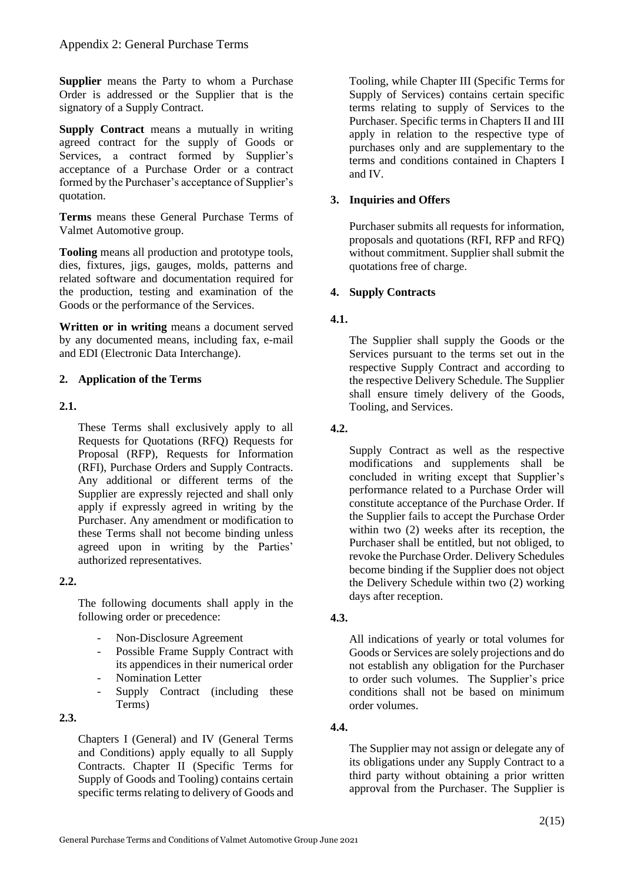**Supplier** means the Party to whom a Purchase Order is addressed or the Supplier that is the signatory of a Supply Contract.

**Supply Contract** means a mutually in writing agreed contract for the supply of Goods or Services, a contract formed by Supplier's acceptance of a Purchase Order or a contract formed by the Purchaser's acceptance of Supplier's quotation.

**Terms** means these General Purchase Terms of Valmet Automotive group.

**Tooling** means all production and prototype tools, dies, fixtures, jigs, gauges, molds, patterns and related software and documentation required for the production, testing and examination of the Goods or the performance of the Services.

**Written or in writing** means a document served by any documented means, including fax, e-mail and EDI (Electronic Data Interchange).

### **2. Application of the Terms**

## **2.1.**

These Terms shall exclusively apply to all Requests for Quotations (RFQ) Requests for Proposal (RFP), Requests for Information (RFI), Purchase Orders and Supply Contracts. Any additional or different terms of the Supplier are expressly rejected and shall only apply if expressly agreed in writing by the Purchaser. Any amendment or modification to these Terms shall not become binding unless agreed upon in writing by the Parties' authorized representatives.

### **2.2.**

The following documents shall apply in the following order or precedence:

- Non-Disclosure Agreement
- Possible Frame Supply Contract with its appendices in their numerical order
- Nomination Letter
- Supply Contract (including these Terms)

### **2.3.**

Chapters I (General) and IV (General Terms and Conditions) apply equally to all Supply Contracts. Chapter II (Specific Terms for Supply of Goods and Tooling) contains certain specific terms relating to delivery of Goods and Tooling, while Chapter III (Specific Terms for Supply of Services) contains certain specific terms relating to supply of Services to the Purchaser. Specific terms in Chapters II and III apply in relation to the respective type of purchases only and are supplementary to the terms and conditions contained in Chapters I and IV.

## **3. Inquiries and Offers**

Purchaser submits all requests for information, proposals and quotations (RFI, RFP and RFQ) without commitment. Supplier shall submit the quotations free of charge.

## **4. Supply Contracts**

# **4.1.**

The Supplier shall supply the Goods or the Services pursuant to the terms set out in the respective Supply Contract and according to the respective Delivery Schedule. The Supplier shall ensure timely delivery of the Goods, Tooling, and Services.

## **4.2.**

Supply Contract as well as the respective modifications and supplements shall be concluded in writing except that Supplier's performance related to a Purchase Order will constitute acceptance of the Purchase Order. If the Supplier fails to accept the Purchase Order within two (2) weeks after its reception, the Purchaser shall be entitled, but not obliged, to revoke the Purchase Order. Delivery Schedules become binding if the Supplier does not object the Delivery Schedule within two (2) working days after reception.

### **4.3.**

All indications of yearly or total volumes for Goods or Services are solely projections and do not establish any obligation for the Purchaser to order such volumes. The Supplier's price conditions shall not be based on minimum order volumes.

### **4.4.**

The Supplier may not assign or delegate any of its obligations under any Supply Contract to a third party without obtaining a prior written approval from the Purchaser. The Supplier is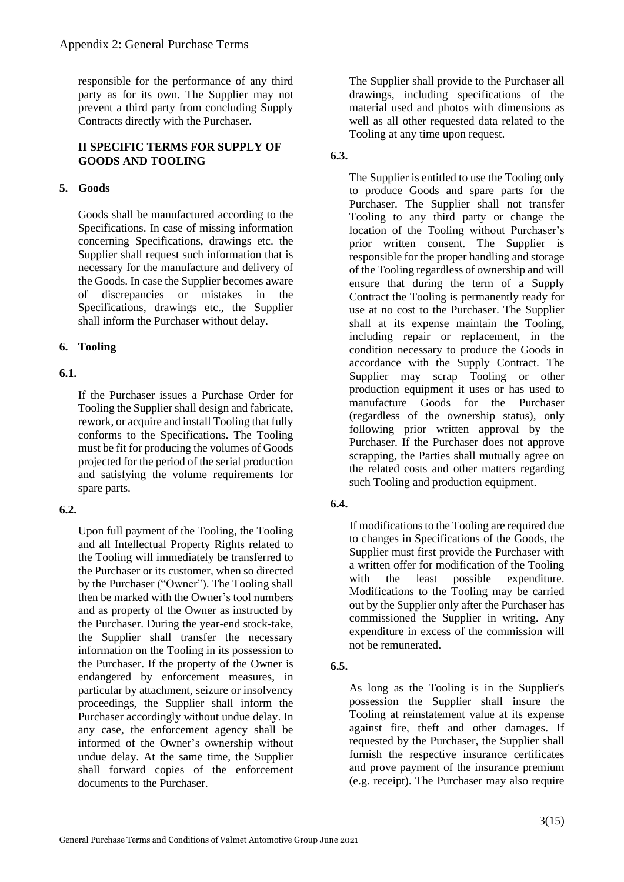responsible for the performance of any third party as for its own. The Supplier may not prevent a third party from concluding Supply Contracts directly with the Purchaser.

#### **II SPECIFIC TERMS FOR SUPPLY OF GOODS AND TOOLING**

## **5. Goods**

Goods shall be manufactured according to the Specifications. In case of missing information concerning Specifications, drawings etc. the Supplier shall request such information that is necessary for the manufacture and delivery of the Goods. In case the Supplier becomes aware of discrepancies or mistakes in the Specifications, drawings etc., the Supplier shall inform the Purchaser without delay.

# **6. Tooling**

## **6.1.**

If the Purchaser issues a Purchase Order for Tooling the Supplier shall design and fabricate, rework, or acquire and install Tooling that fully conforms to the Specifications. The Tooling must be fit for producing the volumes of Goods projected for the period of the serial production and satisfying the volume requirements for spare parts.

### **6.2.**

Upon full payment of the Tooling, the Tooling and all Intellectual Property Rights related to the Tooling will immediately be transferred to the Purchaser or its customer, when so directed by the Purchaser ("Owner"). The Tooling shall then be marked with the Owner's tool numbers and as property of the Owner as instructed by the Purchaser. During the year-end stock-take, the Supplier shall transfer the necessary information on the Tooling in its possession to the Purchaser. If the property of the Owner is endangered by enforcement measures, in particular by attachment, seizure or insolvency proceedings, the Supplier shall inform the Purchaser accordingly without undue delay. In any case, the enforcement agency shall be informed of the Owner's ownership without undue delay. At the same time, the Supplier shall forward copies of the enforcement documents to the Purchaser.

The Supplier shall provide to the Purchaser all drawings, including specifications of the material used and photos with dimensions as well as all other requested data related to the Tooling at any time upon request.

### **6.3.**

The Supplier is entitled to use the Tooling only to produce Goods and spare parts for the Purchaser. The Supplier shall not transfer Tooling to any third party or change the location of the Tooling without Purchaser's prior written consent. The Supplier is responsible for the proper handling and storage of the Tooling regardless of ownership and will ensure that during the term of a Supply Contract the Tooling is permanently ready for use at no cost to the Purchaser. The Supplier shall at its expense maintain the Tooling, including repair or replacement, in the condition necessary to produce the Goods in accordance with the Supply Contract. The Supplier may scrap Tooling or other production equipment it uses or has used to manufacture Goods for the Purchaser (regardless of the ownership status), only following prior written approval by the Purchaser. If the Purchaser does not approve scrapping, the Parties shall mutually agree on the related costs and other matters regarding such Tooling and production equipment.

# **6.4.**

If modifications to the Tooling are required due to changes in Specifications of the Goods, the Supplier must first provide the Purchaser with a written offer for modification of the Tooling with the least possible expenditure. Modifications to the Tooling may be carried out by the Supplier only after the Purchaser has commissioned the Supplier in writing. Any expenditure in excess of the commission will not be remunerated.

### **6.5.**

As long as the Tooling is in the Supplier's possession the Supplier shall insure the Tooling at reinstatement value at its expense against fire, theft and other damages. If requested by the Purchaser, the Supplier shall furnish the respective insurance certificates and prove payment of the insurance premium (e.g. receipt). The Purchaser may also require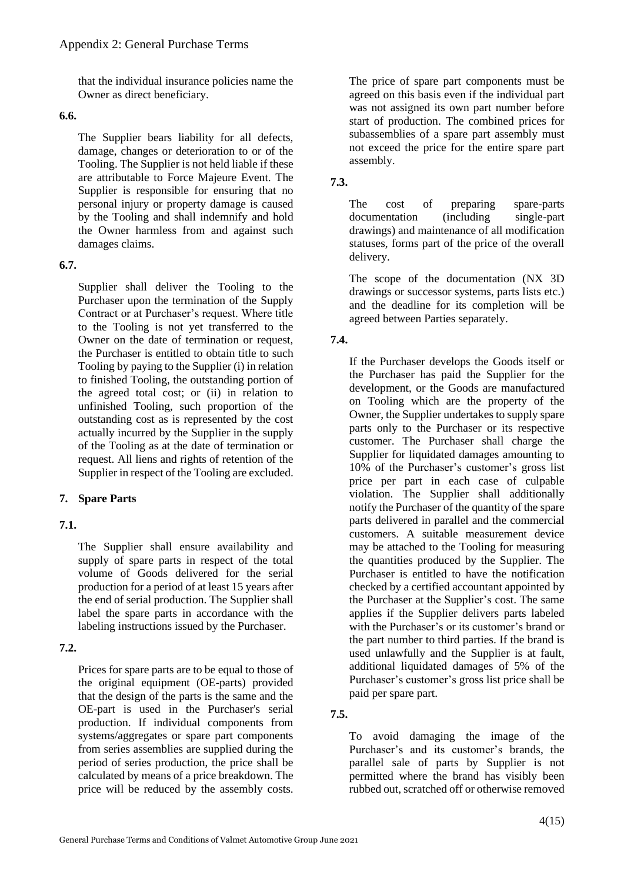that the individual insurance policies name the Owner as direct beneficiary.

### **6.6.**

The Supplier bears liability for all defects, damage, changes or deterioration to or of the Tooling. The Supplier is not held liable if these are attributable to Force Majeure Event. The Supplier is responsible for ensuring that no personal injury or property damage is caused by the Tooling and shall indemnify and hold the Owner harmless from and against such damages claims.

# **6.7.**

Supplier shall deliver the Tooling to the Purchaser upon the termination of the Supply Contract or at Purchaser's request. Where title to the Tooling is not yet transferred to the Owner on the date of termination or request, the Purchaser is entitled to obtain title to such Tooling by paying to the Supplier (i) in relation to finished Tooling, the outstanding portion of the agreed total cost; or (ii) in relation to unfinished Tooling, such proportion of the outstanding cost as is represented by the cost actually incurred by the Supplier in the supply of the Tooling as at the date of termination or request. All liens and rights of retention of the Supplier in respect of the Tooling are excluded.

# **7. Spare Parts**

# **7.1.**

The Supplier shall ensure availability and supply of spare parts in respect of the total volume of Goods delivered for the serial production for a period of at least 15 years after the end of serial production. The Supplier shall label the spare parts in accordance with the labeling instructions issued by the Purchaser.

# **7.2.**

Prices for spare parts are to be equal to those of the original equipment (OE-parts) provided that the design of the parts is the same and the OE-part is used in the Purchaser's serial production. If individual components from systems/aggregates or spare part components from series assemblies are supplied during the period of series production, the price shall be calculated by means of a price breakdown. The price will be reduced by the assembly costs. The price of spare part components must be agreed on this basis even if the individual part was not assigned its own part number before start of production. The combined prices for subassemblies of a spare part assembly must not exceed the price for the entire spare part assembly.

# **7.3.**

The cost of preparing spare-parts documentation (including single-part drawings) and maintenance of all modification statuses, forms part of the price of the overall delivery.

The scope of the documentation (NX 3D drawings or successor systems, parts lists etc.) and the deadline for its completion will be agreed between Parties separately.

# **7.4.**

If the Purchaser develops the Goods itself or the Purchaser has paid the Supplier for the development, or the Goods are manufactured on Tooling which are the property of the Owner, the Supplier undertakes to supply spare parts only to the Purchaser or its respective customer. The Purchaser shall charge the Supplier for liquidated damages amounting to 10% of the Purchaser's customer's gross list price per part in each case of culpable violation. The Supplier shall additionally notify the Purchaser of the quantity of the spare parts delivered in parallel and the commercial customers. A suitable measurement device may be attached to the Tooling for measuring the quantities produced by the Supplier. The Purchaser is entitled to have the notification checked by a certified accountant appointed by the Purchaser at the Supplier's cost. The same applies if the Supplier delivers parts labeled with the Purchaser's or its customer's brand or the part number to third parties. If the brand is used unlawfully and the Supplier is at fault, additional liquidated damages of 5% of the Purchaser's customer's gross list price shall be paid per spare part.

# **7.5.**

To avoid damaging the image of the Purchaser's and its customer's brands, the parallel sale of parts by Supplier is not permitted where the brand has visibly been rubbed out, scratched off or otherwise removed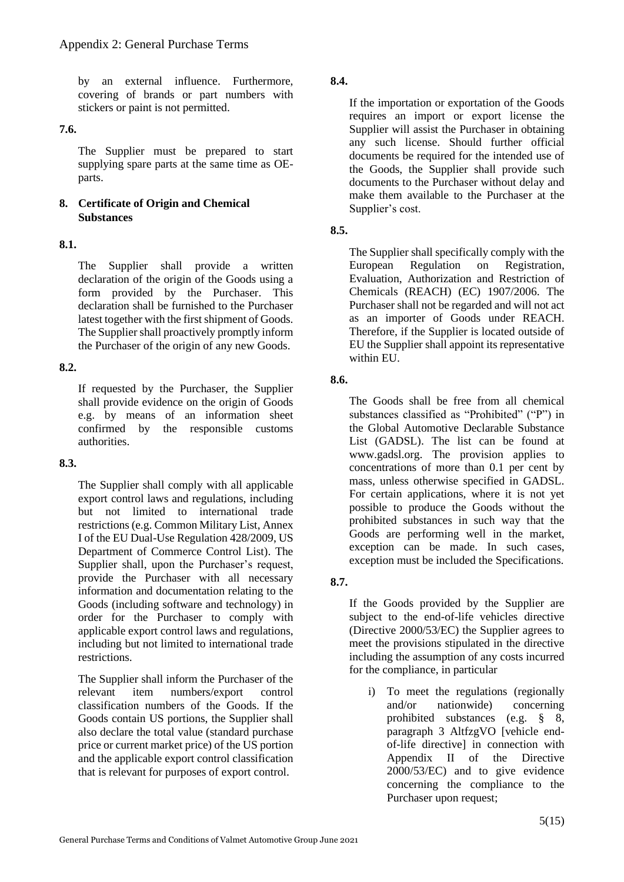by an external influence. Furthermore, covering of brands or part numbers with stickers or paint is not permitted.

### **7.6.**

The Supplier must be prepared to start supplying spare parts at the same time as OEparts.

### **8. Certificate of Origin and Chemical Substances**

# **8.1.**

The Supplier shall provide a written declaration of the origin of the Goods using a form provided by the Purchaser. This declaration shall be furnished to the Purchaser latest together with the first shipment of Goods. The Supplier shall proactively promptly inform the Purchaser of the origin of any new Goods.

### **8.2.**

If requested by the Purchaser, the Supplier shall provide evidence on the origin of Goods e.g. by means of an information sheet confirmed by the responsible customs authorities.

### **8.3.**

The Supplier shall comply with all applicable export control laws and regulations, including but not limited to international trade restrictions (e.g. Common Military List, Annex I of the EU Dual-Use Regulation 428/2009, US Department of Commerce Control List). The Supplier shall, upon the Purchaser's request, provide the Purchaser with all necessary information and documentation relating to the Goods (including software and technology) in order for the Purchaser to comply with applicable export control laws and regulations, including but not limited to international trade restrictions.

The Supplier shall inform the Purchaser of the relevant item numbers/export control classification numbers of the Goods. If the Goods contain US portions, the Supplier shall also declare the total value (standard purchase price or current market price) of the US portion and the applicable export control classification that is relevant for purposes of export control.

## **8.4.**

If the importation or exportation of the Goods requires an import or export license the Supplier will assist the Purchaser in obtaining any such license. Should further official documents be required for the intended use of the Goods, the Supplier shall provide such documents to the Purchaser without delay and make them available to the Purchaser at the Supplier's cost.

# **8.5.**

The Supplier shall specifically comply with the European Regulation on Registration, Evaluation, Authorization and Restriction of Chemicals (REACH) (EC) 1907/2006. The Purchaser shall not be regarded and will not act as an importer of Goods under REACH. Therefore, if the Supplier is located outside of EU the Supplier shall appoint its representative within EU.

## **8.6.**

The Goods shall be free from all chemical substances classified as "Prohibited" ("P") in the Global Automotive Declarable Substance List (GADSL). The list can be found at www.gadsl.org. The provision applies to concentrations of more than 0.1 per cent by mass, unless otherwise specified in GADSL. For certain applications, where it is not yet possible to produce the Goods without the prohibited substances in such way that the Goods are performing well in the market, exception can be made. In such cases, exception must be included the Specifications.

# **8.7.**

If the Goods provided by the Supplier are subject to the end-of-life vehicles directive (Directive 2000/53/EC) the Supplier agrees to meet the provisions stipulated in the directive including the assumption of any costs incurred for the compliance, in particular

i) To meet the regulations (regionally and/or nationwide) concerning prohibited substances (e.g. § 8, paragraph 3 AltfzgVO [vehicle endof-life directive] in connection with Appendix II of the Directive 2000/53/EC) and to give evidence concerning the compliance to the Purchaser upon request;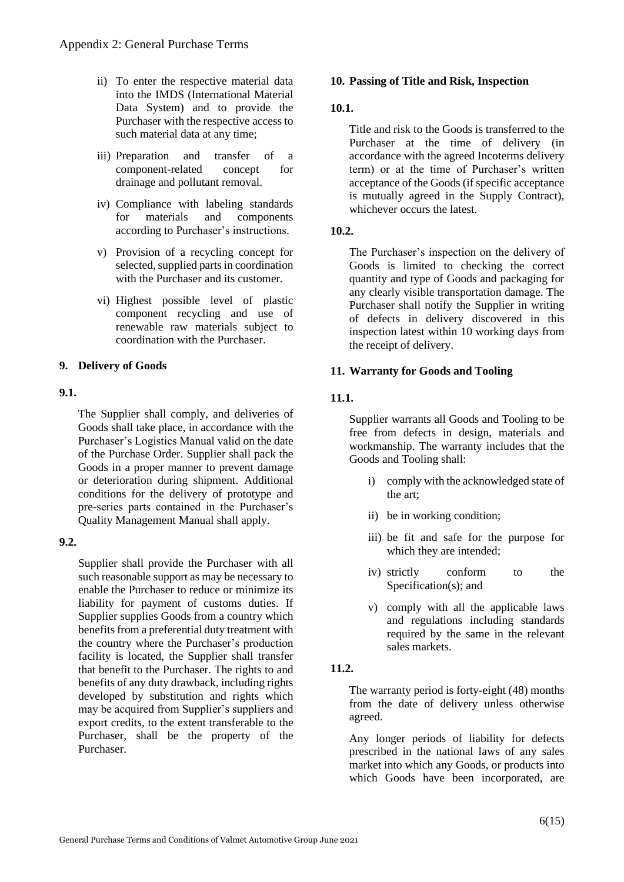- ii) To enter the respective material data into the IMDS (International Material Data System) and to provide the Purchaser with the respective access to such material data at any time;
- iii) Preparation and transfer of a component-related concept for drainage and pollutant removal.
- iv) Compliance with labeling standards for materials and components according to Purchaser's instructions.
- v) Provision of a recycling concept for selected, supplied parts in coordination with the Purchaser and its customer.
- vi) Highest possible level of plastic component recycling and use of renewable raw materials subject to coordination with the Purchaser.

## **9. Delivery of Goods**

### **9.1.**

The Supplier shall comply, and deliveries of Goods shall take place, in accordance with the Purchaser's Logistics Manual valid on the date of the Purchase Order. Supplier shall pack the Goods in a proper manner to prevent damage or deterioration during shipment. Additional conditions for the delivery of prototype and pre-series parts contained in the Purchaser's Quality Management Manual shall apply.

### **9.2.**

Supplier shall provide the Purchaser with all such reasonable support as may be necessary to enable the Purchaser to reduce or minimize its liability for payment of customs duties. If Supplier supplies Goods from a country which benefits from a preferential duty treatment with the country where the Purchaser's production facility is located, the Supplier shall transfer that benefit to the Purchaser. The rights to and benefits of any duty drawback, including rights developed by substitution and rights which may be acquired from Supplier's suppliers and export credits, to the extent transferable to the Purchaser, shall be the property of the Purchaser.

#### **10. Passing of Title and Risk, Inspection**

#### **10.1.**

Title and risk to the Goods is transferred to the Purchaser at the time of delivery (in accordance with the agreed Incoterms delivery term) or at the time of Purchaser's written acceptance of the Goods (if specific acceptance is mutually agreed in the Supply Contract), whichever occurs the latest.

#### **10.2.**

The Purchaser's inspection on the delivery of Goods is limited to checking the correct quantity and type of Goods and packaging for any clearly visible transportation damage. The Purchaser shall notify the Supplier in writing of defects in delivery discovered in this inspection latest within 10 working days from the receipt of delivery.

#### **11. Warranty for Goods and Tooling**

### **11.1.**

Supplier warrants all Goods and Tooling to be free from defects in design, materials and workmanship. The warranty includes that the Goods and Tooling shall:

- i) comply with the acknowledged state of the art;
- ii) be in working condition;
- iii) be fit and safe for the purpose for which they are intended;
- iv) strictly conform to the Specification(s); and
- v) comply with all the applicable laws and regulations including standards required by the same in the relevant sales markets.

### **11.2.**

The warranty period is forty-eight (48) months from the date of delivery unless otherwise agreed.

Any longer periods of liability for defects prescribed in the national laws of any sales market into which any Goods, or products into which Goods have been incorporated, are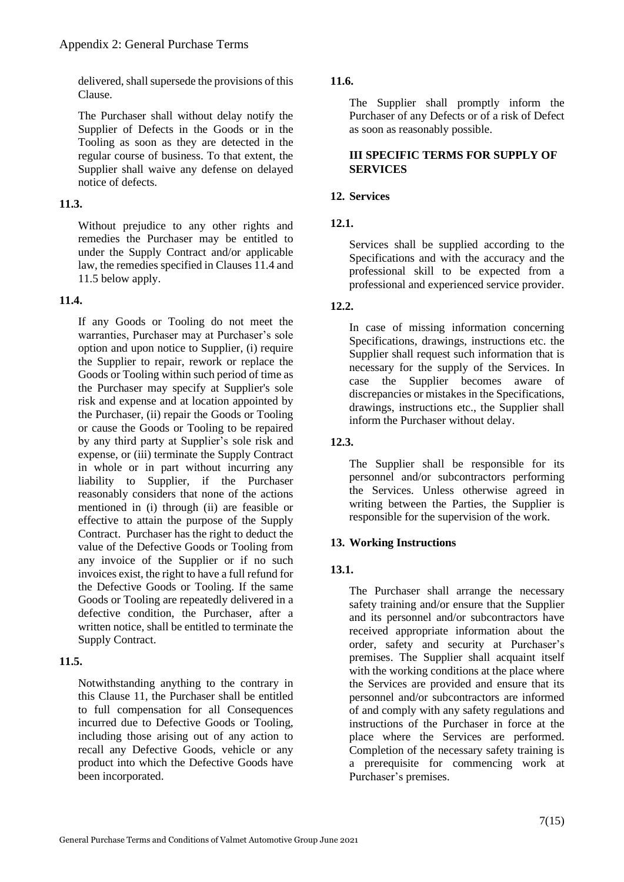delivered, shall supersede the provisions of this Clause.

The Purchaser shall without delay notify the Supplier of Defects in the Goods or in the Tooling as soon as they are detected in the regular course of business. To that extent, the Supplier shall waive any defense on delayed notice of defects.

## **11.3.**

Without prejudice to any other rights and remedies the Purchaser may be entitled to under the Supply Contract and/or applicable law, the remedies specified in Clauses 11.4 and 11.5 below apply.

## **11.4.**

If any Goods or Tooling do not meet the warranties, Purchaser may at Purchaser's sole option and upon notice to Supplier, (i) require the Supplier to repair, rework or replace the Goods or Tooling within such period of time as the Purchaser may specify at Supplier's sole risk and expense and at location appointed by the Purchaser, (ii) repair the Goods or Tooling or cause the Goods or Tooling to be repaired by any third party at Supplier's sole risk and expense, or (iii) terminate the Supply Contract in whole or in part without incurring any liability to Supplier, if the Purchaser reasonably considers that none of the actions mentioned in (i) through (ii) are feasible or effective to attain the purpose of the Supply Contract. Purchaser has the right to deduct the value of the Defective Goods or Tooling from any invoice of the Supplier or if no such invoices exist, the right to have a full refund for the Defective Goods or Tooling. If the same Goods or Tooling are repeatedly delivered in a defective condition, the Purchaser, after a written notice, shall be entitled to terminate the Supply Contract.

# **11.5.**

Notwithstanding anything to the contrary in this Clause 11, the Purchaser shall be entitled to full compensation for all Consequences incurred due to Defective Goods or Tooling, including those arising out of any action to recall any Defective Goods, vehicle or any product into which the Defective Goods have been incorporated.

# **11.6.**

The Supplier shall promptly inform the Purchaser of any Defects or of a risk of Defect as soon as reasonably possible.

### **III SPECIFIC TERMS FOR SUPPLY OF SERVICES**

# **12. Services**

# **12.1.**

Services shall be supplied according to the Specifications and with the accuracy and the professional skill to be expected from a professional and experienced service provider.

## **12.2.**

In case of missing information concerning Specifications, drawings, instructions etc. the Supplier shall request such information that is necessary for the supply of the Services. In case the Supplier becomes aware of discrepancies or mistakes in the Specifications, drawings, instructions etc., the Supplier shall inform the Purchaser without delay.

## **12.3.**

The Supplier shall be responsible for its personnel and/or subcontractors performing the Services. Unless otherwise agreed in writing between the Parties, the Supplier is responsible for the supervision of the work.

# **13. Working Instructions**

# **13.1.**

The Purchaser shall arrange the necessary safety training and/or ensure that the Supplier and its personnel and/or subcontractors have received appropriate information about the order, safety and security at Purchaser's premises. The Supplier shall acquaint itself with the working conditions at the place where the Services are provided and ensure that its personnel and/or subcontractors are informed of and comply with any safety regulations and instructions of the Purchaser in force at the place where the Services are performed. Completion of the necessary safety training is a prerequisite for commencing work at Purchaser's premises.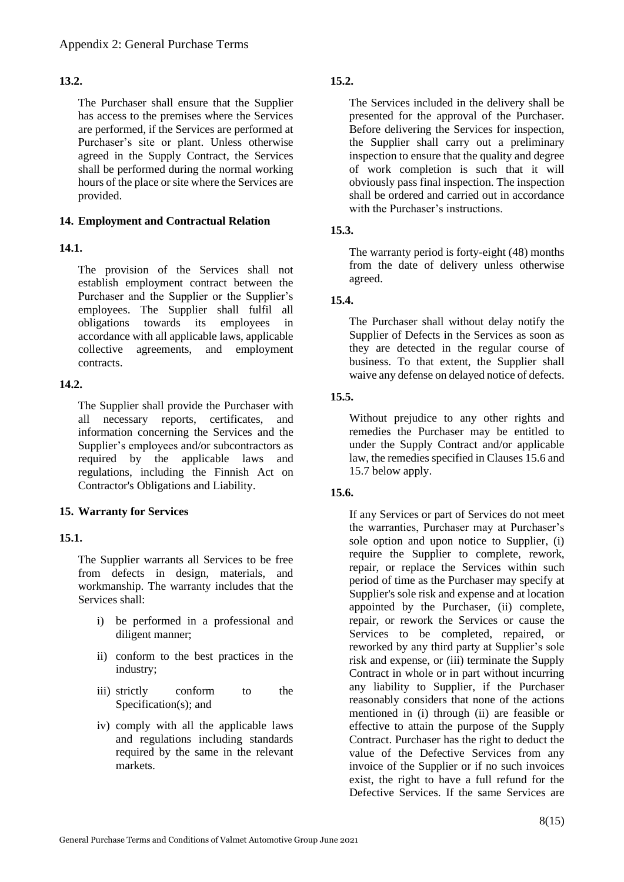### **13.2.**

The Purchaser shall ensure that the Supplier has access to the premises where the Services are performed, if the Services are performed at Purchaser's site or plant. Unless otherwise agreed in the Supply Contract, the Services shall be performed during the normal working hours of the place or site where the Services are provided.

### **14. Employment and Contractual Relation**

### **14.1.**

The provision of the Services shall not establish employment contract between the Purchaser and the Supplier or the Supplier's employees. The Supplier shall fulfil all obligations towards its employees in accordance with all applicable laws, applicable collective agreements, and employment contracts.

# **14.2.**

The Supplier shall provide the Purchaser with all necessary reports, certificates, and information concerning the Services and the Supplier's employees and/or subcontractors as required by the applicable laws and regulations, including the Finnish Act on Contractor's Obligations and Liability.

### **15. Warranty for Services**

### **15.1.**

The Supplier warrants all Services to be free from defects in design, materials, and workmanship. The warranty includes that the Services shall:

- i) be performed in a professional and diligent manner;
- ii) conform to the best practices in the industry;
- iii) strictly conform to the Specification(s); and
- iv) comply with all the applicable laws and regulations including standards required by the same in the relevant markets.

## **15.2.**

The Services included in the delivery shall be presented for the approval of the Purchaser. Before delivering the Services for inspection, the Supplier shall carry out a preliminary inspection to ensure that the quality and degree of work completion is such that it will obviously pass final inspection. The inspection shall be ordered and carried out in accordance with the Purchaser's instructions.

### **15.3.**

The warranty period is forty-eight (48) months from the date of delivery unless otherwise agreed.

## **15.4.**

The Purchaser shall without delay notify the Supplier of Defects in the Services as soon as they are detected in the regular course of business. To that extent, the Supplier shall waive any defense on delayed notice of defects.

## **15.5.**

Without prejudice to any other rights and remedies the Purchaser may be entitled to under the Supply Contract and/or applicable law, the remedies specified in Clauses 15.6 and 15.7 below apply.

### **15.6.**

If any Services or part of Services do not meet the warranties, Purchaser may at Purchaser's sole option and upon notice to Supplier, (i) require the Supplier to complete, rework, repair, or replace the Services within such period of time as the Purchaser may specify at Supplier's sole risk and expense and at location appointed by the Purchaser, (ii) complete, repair, or rework the Services or cause the Services to be completed, repaired, or reworked by any third party at Supplier's sole risk and expense, or (iii) terminate the Supply Contract in whole or in part without incurring any liability to Supplier, if the Purchaser reasonably considers that none of the actions mentioned in (i) through (ii) are feasible or effective to attain the purpose of the Supply Contract. Purchaser has the right to deduct the value of the Defective Services from any invoice of the Supplier or if no such invoices exist, the right to have a full refund for the Defective Services. If the same Services are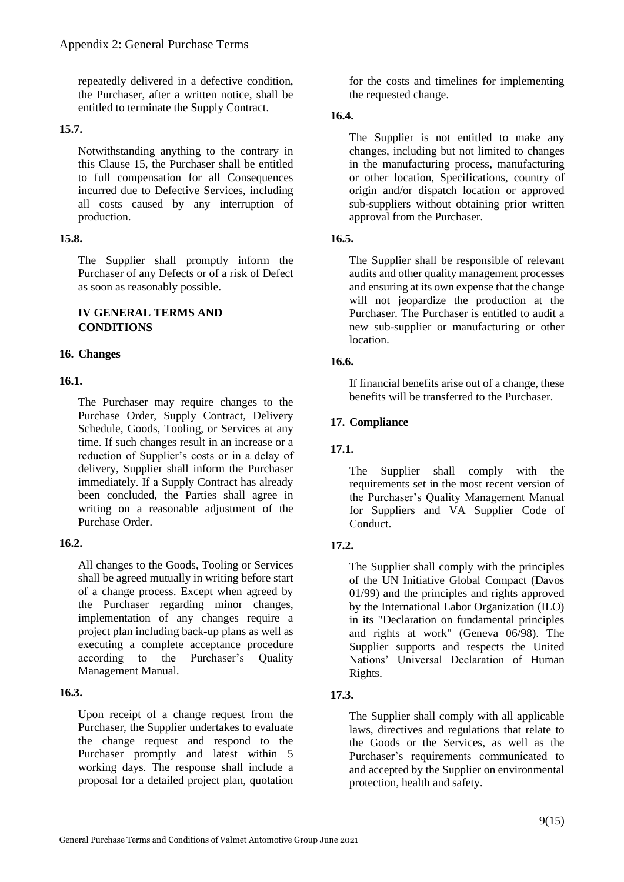repeatedly delivered in a defective condition, the Purchaser, after a written notice, shall be entitled to terminate the Supply Contract.

### **15.7.**

Notwithstanding anything to the contrary in this Clause 15, the Purchaser shall be entitled to full compensation for all Consequences incurred due to Defective Services, including all costs caused by any interruption of production.

## **15.8.**

The Supplier shall promptly inform the Purchaser of any Defects or of a risk of Defect as soon as reasonably possible.

## **IV GENERAL TERMS AND CONDITIONS**

## **16. Changes**

## **16.1.**

The Purchaser may require changes to the Purchase Order, Supply Contract, Delivery Schedule, Goods, Tooling, or Services at any time. If such changes result in an increase or a reduction of Supplier's costs or in a delay of delivery, Supplier shall inform the Purchaser immediately. If a Supply Contract has already been concluded, the Parties shall agree in writing on a reasonable adjustment of the Purchase Order.

# **16.2.**

All changes to the Goods, Tooling or Services shall be agreed mutually in writing before start of a change process. Except when agreed by the Purchaser regarding minor changes, implementation of any changes require a project plan including back-up plans as well as executing a complete acceptance procedure according to the Purchaser's Quality Management Manual.

# **16.3.**

Upon receipt of a change request from the Purchaser, the Supplier undertakes to evaluate the change request and respond to the Purchaser promptly and latest within 5 working days. The response shall include a proposal for a detailed project plan, quotation for the costs and timelines for implementing the requested change.

## **16.4.**

The Supplier is not entitled to make any changes, including but not limited to changes in the manufacturing process, manufacturing or other location, Specifications, country of origin and/or dispatch location or approved sub-suppliers without obtaining prior written approval from the Purchaser.

## **16.5.**

The Supplier shall be responsible of relevant audits and other quality management processes and ensuring at its own expense that the change will not jeopardize the production at the Purchaser. The Purchaser is entitled to audit a new sub-supplier or manufacturing or other location.

# **16.6.**

If financial benefits arise out of a change, these benefits will be transferred to the Purchaser.

# **17. Compliance**

# **17.1.**

The Supplier shall comply with the requirements set in the most recent version of the Purchaser's Quality Management Manual for Suppliers and VA Supplier Code of Conduct.

# **17.2.**

The Supplier shall comply with the principles of the UN Initiative Global Compact (Davos 01/99) and the principles and rights approved by the International Labor Organization (ILO) in its "Declaration on fundamental principles and rights at work" (Geneva 06/98). The Supplier supports and respects the United Nations' Universal Declaration of Human Rights.

# **17.3.**

The Supplier shall comply with all applicable laws, directives and regulations that relate to the Goods or the Services, as well as the Purchaser's requirements communicated to and accepted by the Supplier on environmental protection, health and safety.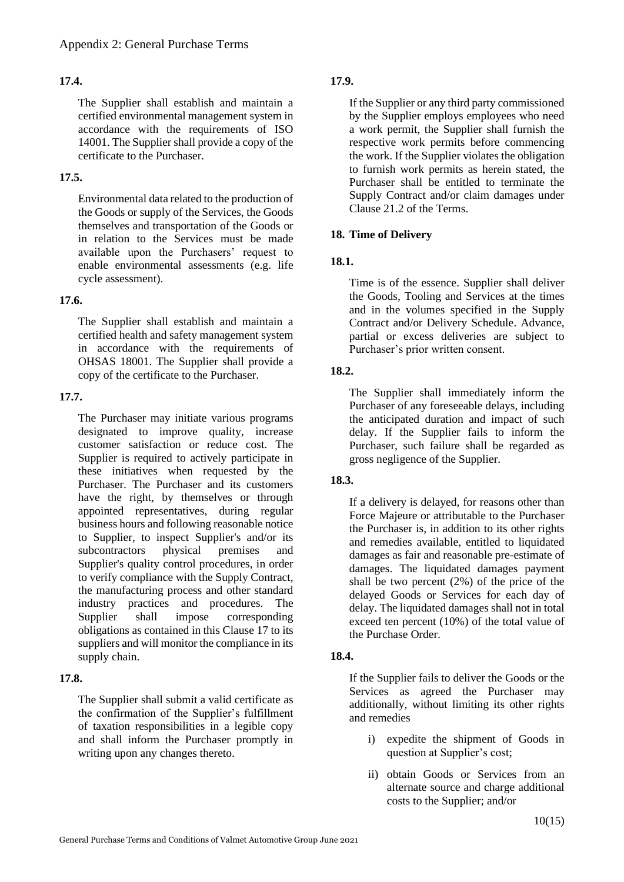### **17.4.**

The Supplier shall establish and maintain a certified environmental management system in accordance with the requirements of ISO 14001. The Supplier shall provide a copy of the certificate to the Purchaser.

## **17.5.**

Environmental data related to the production of the Goods or supply of the Services, the Goods themselves and transportation of the Goods or in relation to the Services must be made available upon the Purchasers' request to enable environmental assessments (e.g. life cycle assessment).

### **17.6.**

The Supplier shall establish and maintain a certified health and safety management system in accordance with the requirements of OHSAS 18001. The Supplier shall provide a copy of the certificate to the Purchaser.

## **17.7.**

The Purchaser may initiate various programs designated to improve quality, increase customer satisfaction or reduce cost. The Supplier is required to actively participate in these initiatives when requested by the Purchaser. The Purchaser and its customers have the right, by themselves or through appointed representatives, during regular business hours and following reasonable notice to Supplier, to inspect Supplier's and/or its subcontractors physical premises and Supplier's quality control procedures, in order to verify compliance with the Supply Contract, the manufacturing process and other standard industry practices and procedures. The Supplier shall impose corresponding obligations as contained in this Clause 17 to its suppliers and will monitor the compliance in its supply chain.

### **17.8.**

The Supplier shall submit a valid certificate as the confirmation of the Supplier's fulfillment of taxation responsibilities in a legible copy and shall inform the Purchaser promptly in writing upon any changes thereto.

# **17.9.**

If the Supplier or any third party commissioned by the Supplier employs employees who need a work permit, the Supplier shall furnish the respective work permits before commencing the work. If the Supplier violates the obligation to furnish work permits as herein stated, the Purchaser shall be entitled to terminate the Supply Contract and/or claim damages under Clause 21.2 of the Terms.

## **18. Time of Delivery**

## **18.1.**

Time is of the essence. Supplier shall deliver the Goods, Tooling and Services at the times and in the volumes specified in the Supply Contract and/or Delivery Schedule. Advance, partial or excess deliveries are subject to Purchaser's prior written consent.

## **18.2.**

The Supplier shall immediately inform the Purchaser of any foreseeable delays, including the anticipated duration and impact of such delay. If the Supplier fails to inform the Purchaser, such failure shall be regarded as gross negligence of the Supplier.

### **18.3.**

If a delivery is delayed, for reasons other than Force Majeure or attributable to the Purchaser the Purchaser is, in addition to its other rights and remedies available, entitled to liquidated damages as fair and reasonable pre-estimate of damages. The liquidated damages payment shall be two percent (2%) of the price of the delayed Goods or Services for each day of delay. The liquidated damages shall not in total exceed ten percent (10%) of the total value of the Purchase Order.

### **18.4.**

If the Supplier fails to deliver the Goods or the Services as agreed the Purchaser may additionally, without limiting its other rights and remedies

- i) expedite the shipment of Goods in question at Supplier's cost;
- ii) obtain Goods or Services from an alternate source and charge additional costs to the Supplier; and/or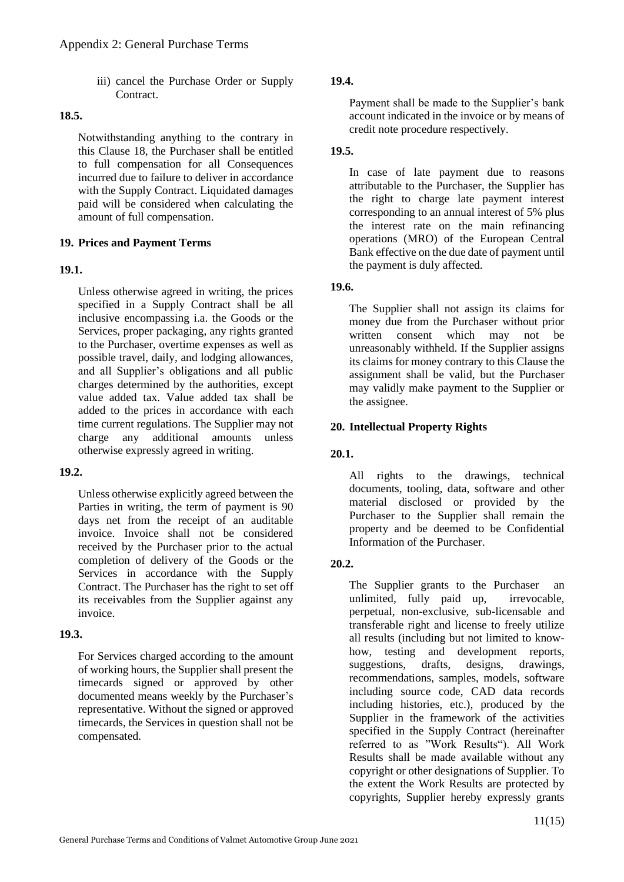iii) cancel the Purchase Order or Supply Contract.

### **18.5.**

Notwithstanding anything to the contrary in this Clause 18, the Purchaser shall be entitled to full compensation for all Consequences incurred due to failure to deliver in accordance with the Supply Contract. Liquidated damages paid will be considered when calculating the amount of full compensation.

## **19. Prices and Payment Terms**

### **19.1.**

Unless otherwise agreed in writing, the prices specified in a Supply Contract shall be all inclusive encompassing i.a. the Goods or the Services, proper packaging, any rights granted to the Purchaser, overtime expenses as well as possible travel, daily, and lodging allowances, and all Supplier's obligations and all public charges determined by the authorities, except value added tax. Value added tax shall be added to the prices in accordance with each time current regulations. The Supplier may not charge any additional amounts unless otherwise expressly agreed in writing.

# **19.2.**

Unless otherwise explicitly agreed between the Parties in writing, the term of payment is 90 days net from the receipt of an auditable invoice. Invoice shall not be considered received by the Purchaser prior to the actual completion of delivery of the Goods or the Services in accordance with the Supply Contract. The Purchaser has the right to set off its receivables from the Supplier against any invoice.

# **19.3.**

For Services charged according to the amount of working hours, the Supplier shall present the timecards signed or approved by other documented means weekly by the Purchaser's representative. Without the signed or approved timecards, the Services in question shall not be compensated.

# **19.4.**

Payment shall be made to the Supplier's bank account indicated in the invoice or by means of credit note procedure respectively.

# **19.5.**

In case of late payment due to reasons attributable to the Purchaser, the Supplier has the right to charge late payment interest corresponding to an annual interest of 5% plus the interest rate on the main refinancing operations (MRO) of the European Central Bank effective on the due date of payment until the payment is duly affected.

# **19.6.**

The Supplier shall not assign its claims for money due from the Purchaser without prior written consent which may not be unreasonably withheld. If the Supplier assigns its claims for money contrary to this Clause the assignment shall be valid, but the Purchaser may validly make payment to the Supplier or the assignee.

## **20. Intellectual Property Rights**

# **20.1.**

All rights to the drawings, technical documents, tooling, data, software and other material disclosed or provided by the Purchaser to the Supplier shall remain the property and be deemed to be Confidential Information of the Purchaser.

### **20.2.**

The Supplier grants to the Purchaser an unlimited, fully paid up, irrevocable, perpetual, non-exclusive, sub-licensable and transferable right and license to freely utilize all results (including but not limited to knowhow, testing and development reports, suggestions, drafts, designs, drawings, recommendations, samples, models, software including source code, CAD data records including histories, etc.), produced by the Supplier in the framework of the activities specified in the Supply Contract (hereinafter referred to as "Work Results"). All Work Results shall be made available without any copyright or other designations of Supplier. To the extent the Work Results are protected by copyrights, Supplier hereby expressly grants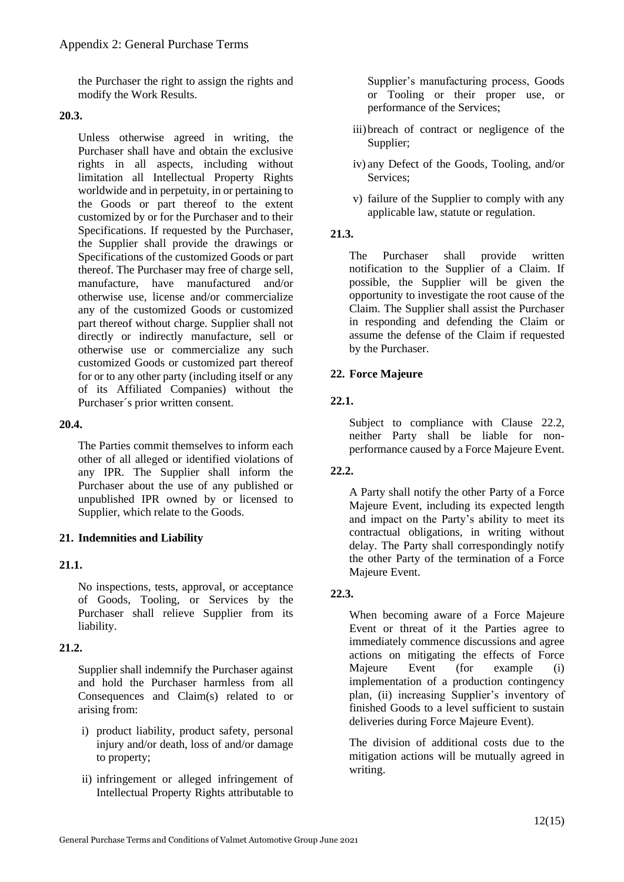the Purchaser the right to assign the rights and modify the Work Results.

### **20.3.**

Unless otherwise agreed in writing, the Purchaser shall have and obtain the exclusive rights in all aspects, including without limitation all Intellectual Property Rights worldwide and in perpetuity, in or pertaining to the Goods or part thereof to the extent customized by or for the Purchaser and to their Specifications. If requested by the Purchaser, the Supplier shall provide the drawings or Specifications of the customized Goods or part thereof. The Purchaser may free of charge sell, manufacture, have manufactured and/or otherwise use, license and/or commercialize any of the customized Goods or customized part thereof without charge. Supplier shall not directly or indirectly manufacture, sell or otherwise use or commercialize any such customized Goods or customized part thereof for or to any other party (including itself or any of its Affiliated Companies) without the Purchaser´s prior written consent.

### **20.4.**

The Parties commit themselves to inform each other of all alleged or identified violations of any IPR. The Supplier shall inform the Purchaser about the use of any published or unpublished IPR owned by or licensed to Supplier, which relate to the Goods.

### **21. Indemnities and Liability**

### **21.1.**

No inspections, tests, approval, or acceptance of Goods, Tooling, or Services by the Purchaser shall relieve Supplier from its liability.

### **21.2.**

Supplier shall indemnify the Purchaser against and hold the Purchaser harmless from all Consequences and Claim(s) related to or arising from:

- i) product liability, product safety, personal injury and/or death, loss of and/or damage to property;
- ii) infringement or alleged infringement of Intellectual Property Rights attributable to

Supplier's manufacturing process, Goods or Tooling or their proper use, or performance of the Services;

- iii)breach of contract or negligence of the Supplier;
- iv) any Defect of the Goods, Tooling, and/or Services;
- v) failure of the Supplier to comply with any applicable law, statute or regulation.

## **21.3.**

The Purchaser shall provide written notification to the Supplier of a Claim. If possible, the Supplier will be given the opportunity to investigate the root cause of the Claim. The Supplier shall assist the Purchaser in responding and defending the Claim or assume the defense of the Claim if requested by the Purchaser.

## **22. Force Majeure**

## **22.1.**

Subject to compliance with Clause [22.2,](#page-11-0) neither Party shall be liable for nonperformance caused by a Force Majeure Event.

### <span id="page-11-0"></span>**22.2.**

A Party shall notify the other Party of a Force Majeure Event, including its expected length and impact on the Party's ability to meet its contractual obligations, in writing without delay. The Party shall correspondingly notify the other Party of the termination of a Force Majeure Event.

### **22.3.**

When becoming aware of a Force Majeure Event or threat of it the Parties agree to immediately commence discussions and agree actions on mitigating the effects of Force Majeure Event (for example (i) implementation of a production contingency plan, (ii) increasing Supplier's inventory of finished Goods to a level sufficient to sustain deliveries during Force Majeure Event).

The division of additional costs due to the mitigation actions will be mutually agreed in writing.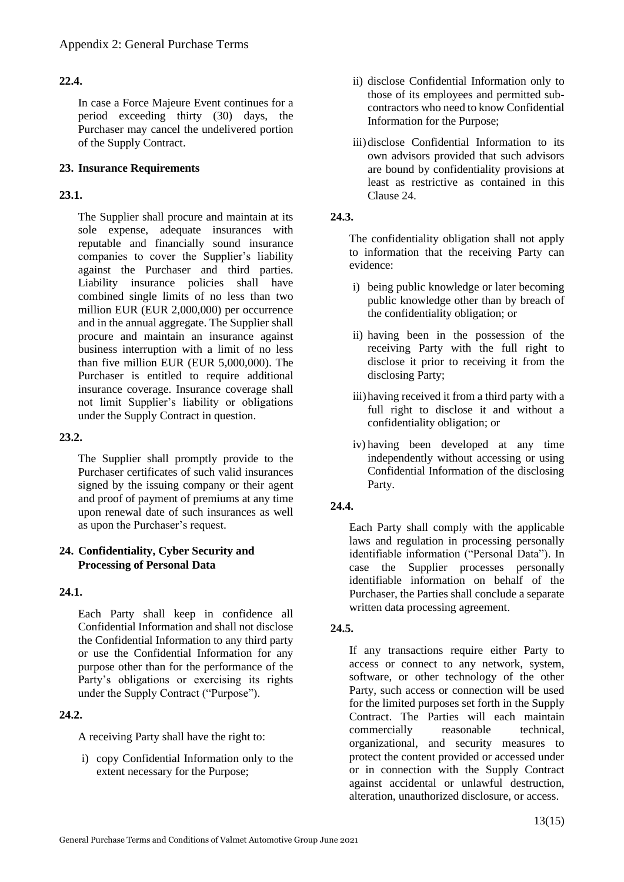## **22.4.**

In case a Force Majeure Event continues for a period exceeding thirty (30) days, the Purchaser may cancel the undelivered portion of the Supply Contract.

#### **23. Insurance Requirements**

### **23.1.**

The Supplier shall procure and maintain at its sole expense, adequate insurances with reputable and financially sound insurance companies to cover the Supplier's liability against the Purchaser and third parties. Liability insurance policies shall have combined single limits of no less than two million EUR (EUR 2,000,000) per occurrence and in the annual aggregate. The Supplier shall procure and maintain an insurance against business interruption with a limit of no less than five million EUR (EUR 5,000,000). The Purchaser is entitled to require additional insurance coverage. Insurance coverage shall not limit Supplier's liability or obligations under the Supply Contract in question.

### **23.2.**

The Supplier shall promptly provide to the Purchaser certificates of such valid insurances signed by the issuing company or their agent and proof of payment of premiums at any time upon renewal date of such insurances as well as upon the Purchaser's request.

### **24. Confidentiality, Cyber Security and Processing of Personal Data**

### **24.1.**

Each Party shall keep in confidence all Confidential Information and shall not disclose the Confidential Information to any third party or use the Confidential Information for any purpose other than for the performance of the Party's obligations or exercising its rights under the Supply Contract ("Purpose").

### **24.2.**

A receiving Party shall have the right to:

i) copy Confidential Information only to the extent necessary for the Purpose;

- ii) disclose Confidential Information only to those of its employees and permitted subcontractors who need to know Confidential Information for the Purpose;
- iii)disclose Confidential Information to its own advisors provided that such advisors are bound by confidentiality provisions at least as restrictive as contained in this  $C$ lause  $24$ .

#### **24.3.**

The confidentiality obligation shall not apply to information that the receiving Party can evidence:

- i) being public knowledge or later becoming public knowledge other than by breach of the confidentiality obligation; or
- ii) having been in the possession of the receiving Party with the full right to disclose it prior to receiving it from the disclosing Party;
- iii)having received it from a third party with a full right to disclose it and without a confidentiality obligation; or
- iv) having been developed at any time independently without accessing or using Confidential Information of the disclosing Party.

### **24.4.**

Each Party shall comply with the applicable laws and regulation in processing personally identifiable information ("Personal Data"). In case the Supplier processes personally identifiable information on behalf of the Purchaser, the Parties shall conclude a separate written data processing agreement.

### **24.5.**

If any transactions require either Party to access or connect to any network, system, software, or other technology of the other Party, such access or connection will be used for the limited purposes set forth in the Supply Contract. The Parties will each maintain commercially reasonable technical, organizational, and security measures to protect the content provided or accessed under or in connection with the Supply Contract against accidental or unlawful destruction, alteration, unauthorized disclosure, or access.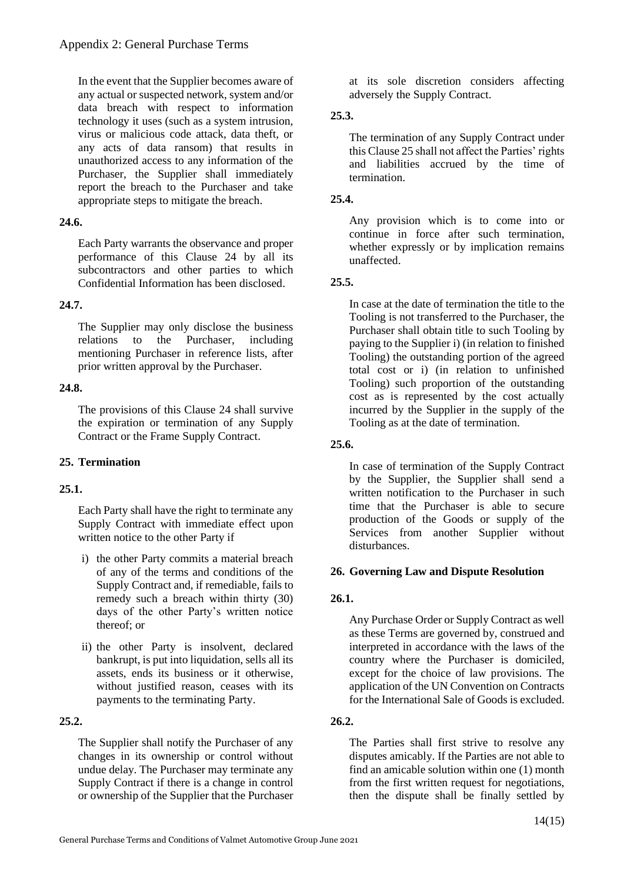In the event that the Supplier becomes aware of any actual or suspected network, system and/or data breach with respect to information technology it uses (such as a system intrusion, virus or malicious code attack, data theft, or any acts of data ransom) that results in unauthorized access to any information of the Purchaser, the Supplier shall immediately report the breach to the Purchaser and take appropriate steps to mitigate the breach.

## **24.6.**

Each Party warrants the observance and proper performance of this Clause 24 by all its subcontractors and other parties to which Confidential Information has been disclosed.

## **24.7.**

The Supplier may only disclose the business relations to the Purchaser, including mentioning Purchaser in reference lists, after prior written approval by the Purchaser.

### **24.8.**

The provisions of this Clause 24 shall survive the expiration or termination of any Supply Contract or the Frame Supply Contract.

# **25. Termination**

# **25.1.**

Each Party shall have the right to terminate any Supply Contract with immediate effect upon written notice to the other Party if

- i) the other Party commits a material breach of any of the terms and conditions of the Supply Contract and, if remediable, fails to remedy such a breach within thirty (30) days of the other Party's written notice thereof; or
- ii) the other Party is insolvent, declared bankrupt, is put into liquidation, sells all its assets, ends its business or it otherwise, without justified reason, ceases with its payments to the terminating Party.

### **25.2.**

The Supplier shall notify the Purchaser of any changes in its ownership or control without undue delay. The Purchaser may terminate any Supply Contract if there is a change in control or ownership of the Supplier that the Purchaser at its sole discretion considers affecting adversely the Supply Contract.

# **25.3.**

The termination of any Supply Contract under this Clause 25 shall not affect the Parties' rights and liabilities accrued by the time of termination.

## **25.4.**

Any provision which is to come into or continue in force after such termination, whether expressly or by implication remains unaffected.

## **25.5.**

In case at the date of termination the title to the Tooling is not transferred to the Purchaser, the Purchaser shall obtain title to such Tooling by paying to the Supplier i) (in relation to finished Tooling) the outstanding portion of the agreed total cost or i) (in relation to unfinished Tooling) such proportion of the outstanding cost as is represented by the cost actually incurred by the Supplier in the supply of the Tooling as at the date of termination.

### **25.6.**

In case of termination of the Supply Contract by the Supplier, the Supplier shall send a written notification to the Purchaser in such time that the Purchaser is able to secure production of the Goods or supply of the Services from another Supplier without disturbances.

### **26. Governing Law and Dispute Resolution**

### **26.1.**

Any Purchase Order or Supply Contract as well as these Terms are governed by, construed and interpreted in accordance with the laws of the country where the Purchaser is domiciled, except for the choice of law provisions. The application of the UN Convention on Contracts for the International Sale of Goods is excluded.

### **26.2.**

The Parties shall first strive to resolve any disputes amicably. If the Parties are not able to find an amicable solution within one (1) month from the first written request for negotiations, then the dispute shall be finally settled by